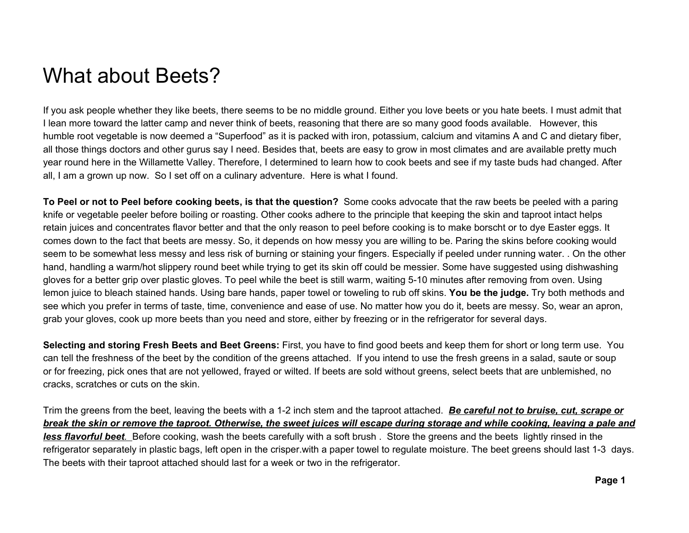## What about Beets?

If you ask people whether they like beets, there seems to be no middle ground. Either you love beets or you hate beets. I must admit that I lean more toward the latter camp and never think of beets, reasoning that there are so many good foods available. However, this humble root vegetable is now deemed a "Superfood" as it is packed with iron, potassium, calcium and vitamins A and C and dietary fiber, all those things doctors and other gurus say I need. Besides that, beets are easy to grow in most climates and are available pretty much year round here in the Willamette Valley. Therefore, I determined to learn how to cook beets and see if my taste buds had changed. After all, I am a grown up now. So I set off on a culinary adventure. Here is what I found.

**To Peel or not to Peel before cooking beets, is that the question?** Some cooks advocate that the raw beets be peeled with a paring knife or vegetable peeler before boiling or roasting. Other cooks adhere to the principle that keeping the skin and taproot intact helps retain juices and concentrates flavor better and that the only reason to peel before cooking is to make borscht or to dye Easter eggs. It comes down to the fact that beets are messy. So, it depends on how messy you are willing to be. Paring the skins before cooking would seem to be somewhat less messy and less risk of burning or staining your fingers. Especially if peeled under running water. . On the other hand, handling a warm/hot slippery round beet while trying to get its skin off could be messier. Some have suggested using dishwashing gloves for a better grip over plastic gloves. To peel while the beet is still warm, waiting 5-10 minutes after removing from oven. Using lemon juice to bleach stained hands. Using bare hands, paper towel or toweling to rub off skins. **You be the judge.** Try both methods and see which you prefer in terms of taste, time, convenience and ease of use. No matter how you do it, beets are messy. So, wear an apron, grab your gloves, cook up more beets than you need and store, either by freezing or in the refrigerator for several days.

**Selecting and storing Fresh Beets and Beet Greens:** F irst, you have to find good beets and keep them for short or long term use. You can tell the freshness of the beet by the condition of the greens attached. If you intend to use the fresh greens in a salad, saute or soup or for freezing, pick ones that are not yellowed, frayed or wilted. If beets are sold without greens, select beets that are unblemished, no cracks, scratches or cuts on the skin.

Trim the greens from the beet, leaving the beets with a 1-2 inch stem and the taproot attached. *Be careful not to bruise, cut, scrape or* break the skin or remove the taproot. Otherwise, the sweet juices will escape during storage and while cooking, leaving a pale and *less flavorful beet.* Before cooking, wash the beets carefully with a soft brush . Store the greens and the beets lightly rinsed in the refrigerator separately in plastic bags, left open in the crisper.with a paper towel to regulate moisture. The beet greens should last 1-3 days. The beets with their taproot attached should last for a week or two in the refrigerator.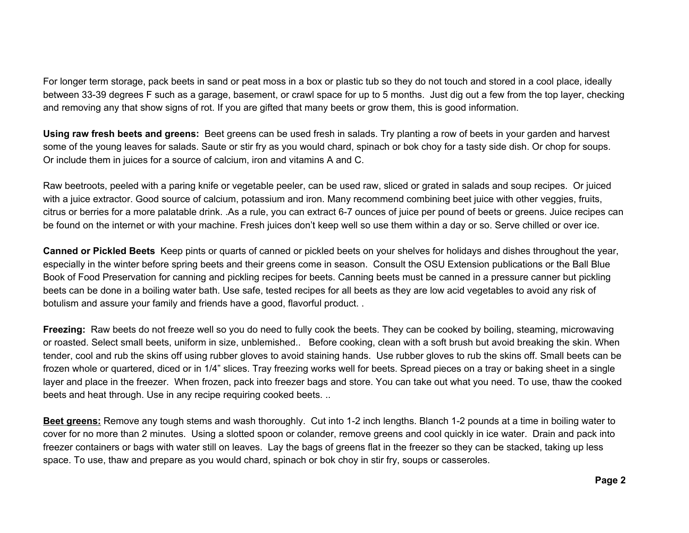For longer term storage, pack beets in sand or peat moss in a box or plastic tub so they do not touch and stored in a cool place, ideally between 33-39 degrees F such as a garage, basement, or crawl space for up to 5 months. Just dig out a few from the top layer, checking and removing any that show signs of rot. If you are gifted that many beets or grow them, this is good information.

**Using raw fresh beets and greens:** Beet greens can be used fresh in salads. Try planting a row of beets in your garden and harvest some of the young leaves for salads. Saute or stir fry as you would chard, spinach or bok choy for a tasty side dish. Or chop for soups. Or include them in juices for a source of calcium, iron and vitamins A and C.

Raw beetroots, peeled with a paring knife or vegetable peeler, can be used raw, sliced or grated in salads and soup recipes. Or juiced with a juice extractor. Good source of calcium, potassium and iron. Many recommend combining beet juice with other veggies, fruits, citrus or berries for a more palatable drink. .As a rule, you can extract 6-7 ounces of juice per pound of beets or greens. Juice recipes can be found on the internet or with your machine. Fresh juices don't keep well so use them within a day or so. Serve chilled or over ice.

**Canned or Pickled Beets** Keep pints or quarts of canned or pickled beets on your shelves for holidays and dishes throughout the year, especially in the winter before spring beets and their greens come in season. Consult the OSU Extension publications or the Ball Blue Book of Food Preservation for canning and pickling recipes for beets. Canning beets must be canned in a pressure canner but pickling beets can be done in a boiling water bath. Use safe, tested recipes for all beets as they are low acid vegetables to avoid any risk of botulism and assure your family and friends have a good, flavorful product. .

**Freezing:** Raw beets do not freeze well so you do need to fully cook the beets. They can be cooked by boiling, steaming, microwaving or roasted. Select small beets, uniform in size, unblemished.. Before cooking, clean with a soft brush but avoid breaking the skin. When tender, cool and rub the skins off using rubber gloves to avoid staining hands. Use rubber gloves to rub the skins off. Small beets can be frozen whole or quartered, diced or in 1/4" slices. Tray freezing works well for beets. Spread pieces on a tray or baking sheet in a single layer and place in the freezer. When frozen, pack into freezer bags and store. You can take out what you need. To use, thaw the cooked beets and heat through. Use in any recipe requiring cooked beets. ..

**Beet greens:** Remove any tough stems and wash thoroughly. Cut into 1-2 inch lengths. Blanch 1-2 pounds at a time in boiling water to cover for no more than 2 minutes. Using a slotted spoon or colander, remove greens and cool quickly in ice water. Drain and pack into freezer containers or bags with water still on leaves. Lay the bags of greens flat in the freezer so they can be stacked, taking up less space. To use, thaw and prepare as you would chard, spinach or bok choy in stir fry, soups or casseroles.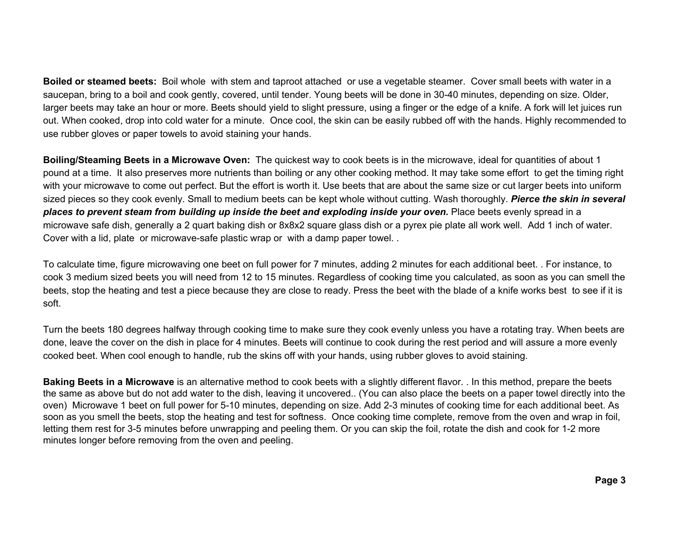**Boiled or steamed beets:** Boil whole with stem and taproot attached or use a vegetable steamer. Cover small beets with water in a saucepan, bring to a boil and cook gently, covered, until tender. Young beets will be done in 30-40 minutes, depending on size. Older, larger beets may take an hour or more. Beets should yield to slight pressure, using a finger or the edge of a knife. A fork will let juices run out. When cooked, drop into cold water for a minute. Once cool, the skin can be easily rubbed off with the hands. Highly recommended to use rubber gloves or paper towels to avoid staining your hands.

**Boiling/Steaming Beets in a Microwave Oven:** T he quickest way to cook beets is in the microwave, ideal for quantities of about 1 pound at a time. It also preserves more nutrients than boiling or any other cooking method. It may take some effort to get the timing right with your microwave to come out perfect. But the effort is worth it. Use beets that are about the same size or cut larger beets into uniform sized pieces so they cook evenly. Small to medium beets can be kept whole without cutting. Wash thoroughly. *Pierce the skin in several* places to prevent steam from building up inside the beet and exploding inside your oven. Place beets evenly spread in a microwave safe dish, generally a 2 quart baking dish or 8x8x2 square glass dish or a pyrex pie plate all work well. Add 1 inch of water. Cover with a lid, plate or microwave-safe plastic wrap or with a damp paper towel. .

To calculate time, figure microwaving one beet on full power for 7 minutes, adding 2 minutes for each additional beet. . For instance, to cook 3 medium sized beets you will need from 12 to 15 minutes. Regardless of cooking time you calculated, as soon as you can smell the beets, stop the heating and test a piece because they are close to ready. Press the beet with the blade of a knife works best to see if it is soft.

Turn the beets 180 degrees halfway through cooking time to make sure they cook evenly unless you have a rotating tray. When beets are done, leave the cover on the dish in place for 4 minutes. Beets will continue to cook during the rest period and will assure a more evenly cooked beet. When cool enough to handle, rub the skins off with your hands, using rubber gloves to avoid staining.

**Baking Beets in a Microwave** is an alternative method to cook beets with a slightly different flavor. . In this method, prepare the beets the same as above but do not add water to the dish, leaving it uncovered.. (You can also place the beets on a paper towel directly into the oven) Microwave 1 beet on full power for 5-10 minutes, depending on size. Add 2-3 minutes of cooking time for each additional beet. As soon as you smell the beets, stop the heating and test for softness. Once cooking time complete, remove from the oven and wrap in foil, letting them rest for 3-5 minutes before unwrapping and peeling them. Or you can skip the foil, rotate the dish and cook for 1-2 more minutes longer before removing from the oven and peeling.